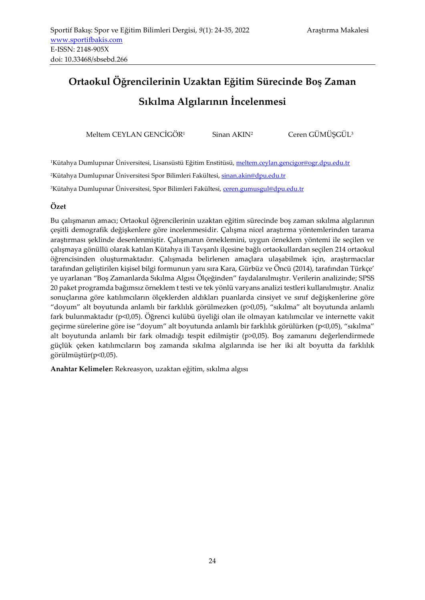## **Ortaokul Öğrencilerinin Uzaktan Eğitim Sürecinde Boş Zaman Sıkılma Algılarının İncelenmesi**

Meltem CEYLAN GENCİGÖR<sup>1</sup> Sinan AKIN<sup>2</sup> Ceren GÜMÜŞGÜL<sup>3</sup>

<sup>1</sup>Kütahya Dumlupınar Üniversitesi, Lisansüstü Eğitim Enstitüsü, meltem.ceylan.gencigor@ogr.dpu.edu.tr <sup>2</sup>Kütahya Dumlupınar Üniversitesi Spor Bilimleri Fakültesi, [sinan.akin@dpu.edu.tr](mailto:sinan.akin@dpu.edu.tr) <sup>3</sup>Kütahya Dumlupınar Üniversitesi, Spor Bilimleri Fakültesi, ceren.gumusgul@dpu.edu.tr

#### **Özet**

Bu çalışmanın amacı; Ortaokul öğrencilerinin uzaktan eğitim sürecinde boş zaman sıkılma algılarının çeşitli demografik değişkenlere göre incelenmesidir. Çalışma nicel araştırma yöntemlerinden tarama araştırması şeklinde desenlenmiştir. Çalışmanın örneklemini, uygun örneklem yöntemi ile seçilen ve çalışmaya gönüllü olarak katılan Kütahya ili Tavşanlı ilçesine bağlı ortaokullardan seçilen 214 ortaokul öğrencisinden oluşturmaktadır. Çalışmada belirlenen amaçlara ulaşabilmek için, araştırmacılar tarafından geliştirilen kişisel bilgi formunun yanı sıra Kara, Gürbüz ve Öncü (2014), tarafından Türkçe' ye uyarlanan "Boş Zamanlarda Sıkılma Algısı Ölçeğinden" faydalanılmıştır. Verilerin analizinde; SPSS 20 paket programda bağımsız örneklem t testi ve tek yönlü varyans analizi testleri kullanılmıştır. Analiz sonuçlarına göre katılımcıların ölçeklerden aldıkları puanlarda cinsiyet ve sınıf değişkenlerine göre "doyum" alt boyutunda anlamlı bir farklılık görülmezken (p>0,05), "sıkılma" alt boyutunda anlamlı fark bulunmaktadır (p<0,05). Öğrenci kulübü üyeliği olan ile olmayan katılımcılar ve internette vakit geçirme sürelerine göre ise "doyum" alt boyutunda anlamlı bir farklılık görülürken (p<0,05), "sıkılma" alt boyutunda anlamlı bir fark olmadığı tespit edilmiştir (p>0,05). Boş zamanını değerlendirmede güçlük çeken katılımcıların boş zamanda sıkılma algılarında ise her iki alt boyutta da farklılık görülmüştür(p<0,05).

**Anahtar Kelimeler:** Rekreasyon, uzaktan eğitim, sıkılma algısı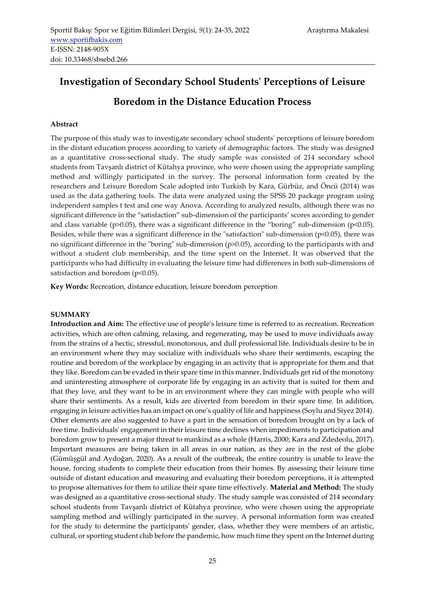# **Investigation of Secondary School Students' Perceptions of Leisure**

### **Boredom in the Distance Education Process**

#### **Abstract**

The purpose of this study was to investigate secondary school students' perceptions of leisure boredom in the distant education process according to variety of demographic factors. The study was designed as a quantitative cross-sectional study. The study sample was consisted of 214 secondary school students from Tavşanlı district of Kütahya province, who were chosen using the appropriate sampling method and willingly participated in the survey. The personal information form created by the researchers and Leisure Boredom Scale adopted into Turkish by Kara, Gürbüz, and Öncü (2014) was used as the data gathering tools. The data were analyzed using the SPSS 20 package program using independent samples t test and one way Anova. According to analyzed results, although there was no significant difference in the "satisfaction" sub-dimension of the participants' scores according to gender and class variable ( $p$ >0.05), there was a significant difference in the "boring" sub-dimension ( $p$ <0.05). Besides, while there was a significant difference in the "satisfaction" sub-dimension ( $p<0.05$ ), there was no significant difference in the "boring" sub-dimension (p>0.05), according to the participants with and without a student club membership, and the time spent on the Internet. It was observed that the participants who had difficulty in evaluating the leisure time had differences in both sub-dimensions of satisfaction and boredom (p<0.05).

**Key Words:** Recreation, distance education, leisure boredom perception

#### **SUMMARY**

**Introduction and Aim:** The effective use of people's leisure time is referred to as recreation. Recreation activities, which are often calming, relaxing, and regenerating, may be used to move individuals away from the strains of a hectic, stressful, monotonous, and dull professional life. Individuals desire to be in an environment where they may socialize with individuals who share their sentiments, escaping the routine and boredom of the workplace by engaging in an activity that is appropriate for them and that they like. Boredom can be evaded in their spare time in this manner. Individuals get rid of the monotony and uninteresting atmosphere of corporate life by engaging in an activity that is suited for them and that they love, and they want to be in an environment where they can mingle with people who will share their sentiments. As a result, kids are diverted from boredom in their spare time. In addition, engaging in leisure activities has an impact on one's quality of life and happiness (Soylu and Siyez 2014). Other elements are also suggested to have a part in the sensation of boredom brought on by a lack of free time. Individuals' engagement in their leisure time declines when impediments to participation and boredom grow to present a major threat to mankind as a whole (Harris, 2000; Kara and Zdedeolu, 2017). Important measures are being taken in all areas in our nation, as they are in the rest of the globe (Gümüşgül and Aydoğan, 2020). As a result of the outbreak, the entire country is unable to leave the house, forcing students to complete their education from their homes. By assessing their leisure time outside of distant education and measuring and evaluating their boredom perceptions, it is attempted to propose alternatives for them to utilize their spare time effectively. **Material and Method:** The study was designed as a quantitative cross-sectional study. The study sample was consisted of 214 secondary school students from Tavşanlı district of Kütahya province, who were chosen using the appropriate sampling method and willingly participated in the survey. A personal information form was created for the study to determine the participants' gender, class, whether they were members of an artistic, cultural, or sporting student club before the pandemic, how much time they spent on the Internet during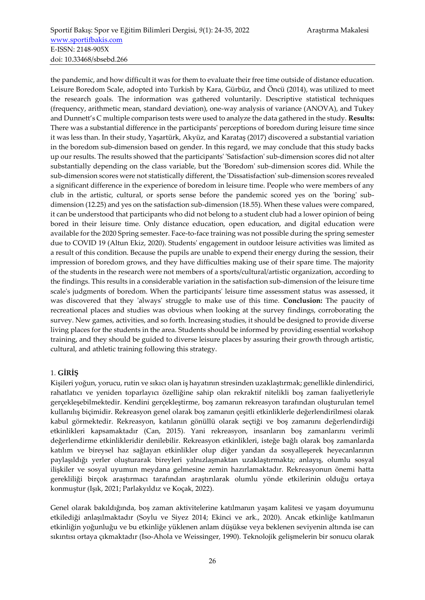the pandemic, and how difficult it was for them to evaluate their free time outside of distance education. Leisure Boredom Scale, adopted into Turkish by Kara, Gürbüz, and Öncü (2014), was utilized to meet the research goals. The information was gathered voluntarily. Descriptive statistical techniques (frequency, arithmetic mean, standard deviation), one-way analysis of variance (ANOVA), and Tukey and Dunnett's C multiple comparison tests were used to analyze the data gathered in the study. **Results:** There was a substantial difference in the participants' perceptions of boredom during leisure time since it was less than. In their study, Yaşartürk, Akyüz, and Karataş (2017) discovered a substantial variation in the boredom sub-dimension based on gender. In this regard, we may conclude that this study backs up our results. The results showed that the participants' 'Satisfaction' sub-dimension scores did not alter substantially depending on the class variable, but the 'Boredom' sub-dimension scores did. While the sub-dimension scores were not statistically different, the 'Dissatisfaction' sub-dimension scores revealed a significant difference in the experience of boredom in leisure time. People who were members of any club in the artistic, cultural, or sports sense before the pandemic scored yes on the 'boring' subdimension (12.25) and yes on the satisfaction sub-dimension (18.55). When these values were compared, it can be understood that participants who did not belong to a student club had a lower opinion of being bored in their leisure time. Only distance education, open education, and digital education were available for the 2020 Spring semester. Face-to-face training was not possible during the spring semester due to COVID 19 (Altun Ekiz, 2020). Students' engagement in outdoor leisure activities was limited as a result of this condition. Because the pupils are unable to expend their energy during the session, their impression of boredom grows, and they have difficulties making use of their spare time. The majority of the students in the research were not members of a sports/cultural/artistic organization, according to the findings. This results in a considerable variation in the satisfaction sub-dimension of the leisure time scale's judgments of boredom. When the participants' leisure time assessment status was assessed, it was discovered that they 'always' struggle to make use of this time. **Conclusion:** The paucity of recreational places and studies was obvious when looking at the survey findings, corroborating the survey. New games, activities, and so forth. Increasing studies, it should be designed to provide diverse living places for the students in the area. Students should be informed by providing essential workshop training, and they should be guided to diverse leisure places by assuring their growth through artistic, cultural, and athletic training following this strategy.

#### 1. **GİRİŞ**

Kişileri yoğun, yorucu, rutin ve sıkıcı olan iş hayatının stresinden uzaklaştırmak; genellikle dinlendirici, rahatlatıcı ve yeniden toparlayıcı özelliğine sahip olan rekraktif nitelikli boş zaman faaliyetleriyle gerçekleşebilmektedir. Kendini gerçekleştirme, boş zamanın rekreasyon tarafından oluşturulan temel kullanılış biçimidir. Rekreasyon genel olarak boş zamanın çeşitli etkinliklerle değerlendirilmesi olarak kabul görmektedir. Rekreasyon, katılanın gönüllü olarak seçtiği ve boş zamanını değerlendirdiği etkinlikleri kapsamaktadır (Can, 2015). Yani rekreasyon, insanların boş zamanlarını verimli değerlendirme etkinlikleridir denilebilir. Rekreasyon etkinlikleri, isteğe bağlı olarak boş zamanlarda katılım ve bireysel haz sağlayan etkinlikler olup diğer yandan da sosyalleşerek heyecanlarının paylaşıldığı yerler oluşturarak bireyleri yalnızlaşmaktan uzaklaştırmakta; anlayış, olumlu sosyal ilişkiler ve sosyal uyumun meydana gelmesine zemin hazırlamaktadır. Rekreasyonun önemi hatta gerekliliği birçok araştırmacı tarafından araştırılarak olumlu yönde etkilerinin olduğu ortaya konmuştur (Işık, 2021; Parlakyıldız ve Koçak, 2022).

Genel olarak bakıldığında, boş zaman aktivitelerine katılmanın yaşam kalitesi ve yaşam doyumunu etkilediği anlaşılmaktadır (Soylu ve Siyez 2014; Ekinci ve ark., 2020). Ancak etkinliğe katılmanın etkinliğin yoğunluğu ve bu etkinliğe yüklenen anlam düşükse veya beklenen seviyenin altında ise can sıkıntısı ortaya çıkmaktadır (Iso-Ahola ve Weissinger, 1990). Teknolojik gelişmelerin bir sonucu olarak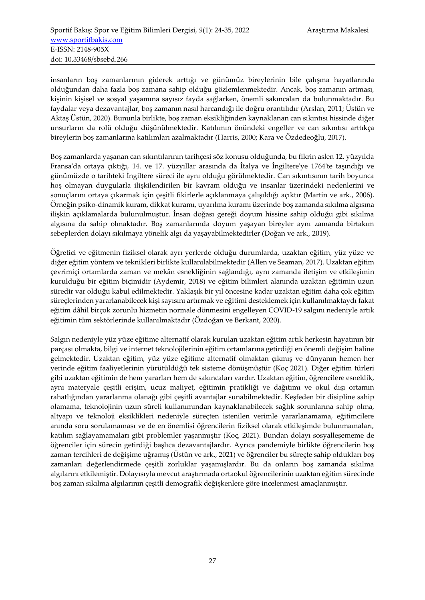insanların boş zamanlarının giderek arttığı ve günümüz bireylerinin bile çalışma hayatlarında olduğundan daha fazla boş zamana sahip olduğu gözlemlenmektedir. Ancak, boş zamanın artması, kişinin kişisel ve sosyal yaşamına sayısız fayda sağlarken, önemli sakıncaları da bulunmaktadır. Bu faydalar veya dezavantajlar, boş zamanın nasıl harcandığı ile doğru orantılıdır (Arslan, 2011; Üstün ve Aktaş Üstün, 2020). Bununla birlikte, boş zaman eksikliğinden kaynaklanan can sıkıntısı hissinde diğer unsurların da rolü olduğu düşünülmektedir. Katılımın önündeki engeller ve can sıkıntısı arttıkça bireylerin boş zamanlarına katılımları azalmaktadır (Harris, 2000; Kara ve Özdedeoğlu, 2017).

Boş zamanlarda yaşanan can sıkıntılarının tarihçesi söz konusu olduğunda, bu fikrin aslen 12. yüzyılda Fransa'da ortaya çıktığı, 14. ve 17. yüzyıllar arasında da İtalya ve İngiltere'ye 1764'te taşındığı ve günümüzde o tarihteki İngiltere süreci ile aynı olduğu görülmektedir. Can sıkıntısının tarih boyunca hoş olmayan duygularla ilişkilendirilen bir kavram olduğu ve insanlar üzerindeki nedenlerini ve sonuçlarını ortaya çıkarmak için çeşitli fikirlerle açıklanmaya çalışıldığı açıktır (Martin ve ark., 2006). Örneğin psiko-dinamik kuram, dikkat kuramı, uyarılma kuramı üzerinde boş zamanda sıkılma algısına ilişkin açıklamalarda bulunulmuştur. İnsan doğası gereği doyum hissine sahip olduğu gibi sıkılma algısına da sahip olmaktadır. Boş zamanlarında doyum yaşayan bireyler aynı zamanda birtakım sebeplerden dolayı sıkılmaya yönelik algı da yaşayabilmektedirler (Doğan ve ark., 2019).

Öğretici ve eğitmenin fiziksel olarak ayrı yerlerde olduğu durumlarda, uzaktan eğitim, yüz yüze ve diğer eğitim yöntem ve teknikleri birlikte kullanılabilmektedir (Allen ve Seaman, 2017). Uzaktan eğitim çevrimiçi ortamlarda zaman ve mekân esnekliğinin sağlandığı, aynı zamanda iletişim ve etkileşimin kurulduğu bir eğitim biçimidir (Aydemir, 2018) ve eğitim bilimleri alanında uzaktan eğitimin uzun süredir var olduğu kabul edilmektedir. Yaklaşık bir yıl öncesine kadar uzaktan eğitim daha çok eğitim süreçlerinden yararlanabilecek kişi sayısını artırmak ve eğitimi desteklemek için kullanılmaktaydı fakat eğitim dâhil birçok zorunlu hizmetin normale dönmesini engelleyen COVID-19 salgını nedeniyle artık eğitimin tüm sektörlerinde kullanılmaktadır (Özdoğan ve Berkant, 2020).

Salgın nedeniyle yüz yüze eğitime alternatif olarak kurulan uzaktan eğitim artık herkesin hayatının bir parçası olmakta, bilgi ve internet teknolojilerinin eğitim ortamlarına getirdiği en önemli değişim haline gelmektedir. Uzaktan eğitim, yüz yüze eğitime alternatif olmaktan çıkmış ve dünyanın hemen her yerinde eğitim faaliyetlerinin yürütüldüğü tek sisteme dönüşmüştür (Koç 2021). Diğer eğitim türleri gibi uzaktan eğitimin de hem yararları hem de sakıncaları vardır. Uzaktan eğitim, öğrencilere esneklik, aynı materyale çeşitli erişim, ucuz maliyet, eğitimin pratikliği ve dağıtımı ve okul dışı ortamın rahatlığından yararlanma olanağı gibi çeşitli avantajlar sunabilmektedir. Keşfeden bir disipline sahip olamama, teknolojinin uzun süreli kullanımından kaynaklanabilecek sağlık sorunlarına sahip olma, altyapı ve teknoloji eksiklikleri nedeniyle süreçten istenilen verimle yararlanamama, eğitimcilere anında soru sorulamaması ve de en önemlisi öğrencilerin fiziksel olarak etkileşimde bulunmamaları, katılım sağlayamamaları gibi problemler yaşanmıştır (Koç, 2021). Bundan dolayı sosyalleşememe de öğrenciler için sürecin getirdiği başlıca dezavantajlardır. Ayrıca pandemiyle birlikte öğrencilerin boş zaman tercihleri de değişime uğramış (Üstün ve ark., 2021) ve öğrenciler bu süreçte sahip oldukları boş zamanları değerlendirmede çeşitli zorluklar yaşamışlardır. Bu da onların boş zamanda sıkılma algılarını etkilemiştir. Dolayısıyla mevcut araştırmada ortaokul öğrencilerinin uzaktan eğitim sürecinde boş zaman sıkılma algılarının çeşitli demografik değişkenlere göre incelenmesi amaçlanmıştır.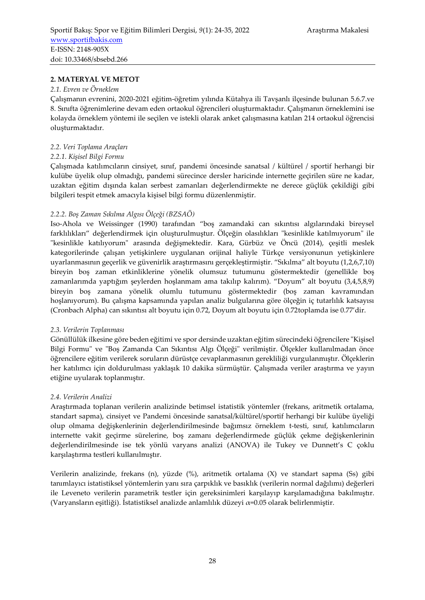#### **2. MATERYAL VE METOT**

#### *2.1. Evren ve Örneklem*

Çalışmanın evrenini, 2020-2021 eğitim-öğretim yılında Kütahya ili Tavşanlı ilçesinde bulunan 5.6.7.ve 8. Sınıfta öğrenimlerine devam eden ortaokul öğrencileri oluşturmaktadır. Çalışmanın örneklemini ise kolayda örneklem yöntemi ile seçilen ve istekli olarak anket çalışmasına katılan 214 ortaokul öğrencisi oluşturmaktadır.

#### *2.2. Veri Toplama Araçları*

#### *2.2.1. Kişisel Bilgi Formu*

Çalışmada katılımcıların cinsiyet, sınıf, pandemi öncesinde sanatsal / kültürel / sportif herhangi bir kulübe üyelik olup olmadığı, pandemi sürecince dersler haricinde internette geçirilen süre ne kadar, uzaktan eğitim dışında kalan serbest zamanları değerlendirmekte ne derece güçlük çekildiği gibi bilgileri tespit etmek amacıyla kişisel bilgi formu düzenlenmiştir.

#### *2.2.2. Boş Zaman Sıkılma Algısı Ölçeği (BZSAÖ)*

Iso-Ahola ve Weissinger (1990) tarafından "boş zamandaki can sıkıntısı algılarındaki bireysel farklılıkları" değerlendirmek için oluşturulmuştur. Ölçeğin olasılıkları "kesinlikle katılmıyorum" ile "kesinlikle katılıyorum" arasında değişmektedir. Kara, Gürbüz ve Öncü (2014), çeşitli meslek kategorilerinde çalışan yetişkinlere uygulanan orijinal haliyle Türkçe versiyonunun yetişkinlere uyarlanmasının geçerlik ve güvenirlik araştırmasını gerçekleştirmiştir. "Sıkılma" alt boyutu (1,2,6,7,10) bireyin boş zaman etkinliklerine yönelik olumsuz tutumunu göstermektedir (genellikle boş zamanlarımda yaptığım şeylerden hoşlanmam ama takılıp kalırım). "Doyum" alt boyutu (3,4,5,8,9) bireyin boş zamana yönelik olumlu tutumunu göstermektedir (boş zaman kavramından hoşlanıyorum). Bu çalışma kapsamında yapılan analiz bulgularına göre ölçeğin iç tutarlılık katsayısı (Cronbach Alpha) can sıkıntısı alt boyutu için 0.72, Doyum alt boyutu için 0.72toplamda ise 0.77'dir.

#### *2.3. Verilerin Toplanması*

Gönüllülük ilkesine göre beden eğitimi ve spor dersinde uzaktan eğitim sürecindeki öğrencilere "Kişisel Bilgi Formu" ve "Boş Zamanda Can Sıkıntısı Algı Ölçeği" verilmiştir. Ölçekler kullanılmadan önce öğrencilere eğitim verilerek soruların dürüstçe cevaplanmasının gerekliliği vurgulanmıştır. Ölçeklerin her katılımcı için doldurulması yaklaşık 10 dakika sürmüştür. Çalışmada veriler araştırma ve yayın etiğine uyularak toplanmıştır.

#### *2.4. Verilerin Analizi*

Araştırmada toplanan verilerin analizinde betimsel istatistik yöntemler (frekans, aritmetik ortalama, standart sapma), cinsiyet ve Pandemi öncesinde sanatsal/kültürel/sportif herhangi bir kulübe üyeliği olup olmama değişkenlerinin değerlendirilmesinde bağımsız örneklem t-testi, sınıf, katılımcıların internette vakit geçirme sürelerine, boş zamanı değerlendirmede güçlük çekme değişkenlerinin değerlendirilmesinde ise tek yönlü varyans analizi (ANOVA) ile Tukey ve Dunnett's C çoklu karşılaştırma testleri kullanılmıştır.

Verilerin analizinde, frekans (n), yüzde (%), aritmetik ortalama (X) ve standart sapma (Ss) gibi tanımlayıcı istatistiksel yöntemlerin yanı sıra çarpıklık ve basıklık (verilerin normal dağılımı) değerleri ile Leveneto verilerin parametrik testler için gereksinimleri karşılayıp karşılamadığına bakılmıştır. (Varyansların eşitliği). İstatistiksel analizde anlamlılık düzeyi  $\alpha$ =0.05 olarak belirlenmiştir.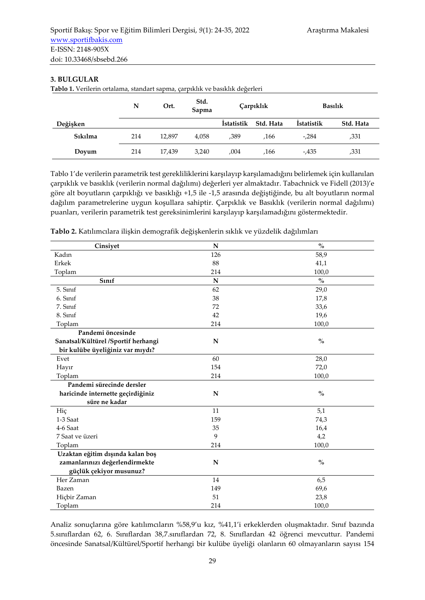#### **3. BULGULAR**

| Tapio I. Vernerin ortalania, standart saphia, çarpıklık ve basıklık değerleri | N   | Ort.   | Std.<br>Sapma |                   | Carpiklik |                   | <b>Basılık</b> |
|-------------------------------------------------------------------------------|-----|--------|---------------|-------------------|-----------|-------------------|----------------|
| Değişken                                                                      |     |        |               | <b>İstatistik</b> | Std. Hata | <b>İstatistik</b> | Std. Hata      |
| <b>Sikilma</b>                                                                | 214 | 12.897 | 4.058         | ,389              | .166      | $-.284$           | ,331           |
| Dovum                                                                         | 214 | 17.439 | 3.240         | .004              | ,166      | $-.435$           | ,331           |

**Tablo 1.** Verilerin ortalama, standart sapma, çarpıklık ve basıklık değerleri

Tablo 1'de verilerin parametrik test gerekliliklerini karşılayıp karşılamadığını belirlemek için kullanılan çarpıklık ve basıklık (verilerin normal dağılımı) değerleri yer almaktadır. Tabachnick ve Fidell (2013)'e göre alt boyutların çarpıklığı ve basıklığı +1,5 ile -1,5 arasında değiştiğinde, bu alt boyutların normal dağılım parametrelerine uygun koşullara sahiptir. Çarpıklık ve Basıklık (verilerin normal dağılımı) puanları, verilerin parametrik test gereksinimlerini karşılayıp karşılamadığını göstermektedir.

| Cinsiyet                            | N   | $\mathbf{0}_{\mathbf{0}}^{\prime}$ |
|-------------------------------------|-----|------------------------------------|
| Kadın                               | 126 | 58,9                               |
| Erkek                               | 88  | 41,1                               |
| Toplam                              | 214 | 100,0                              |
| Sinif                               | N   | $\mathbf{O}_{\mathbf{O}}^{\prime}$ |
| 5. Sinif                            | 62  | 29,0                               |
| 6. Sinif                            | 38  | 17,8                               |
| 7. Sinif                            | 72  | 33,6                               |
| 8. Sinif                            | 42  | 19,6                               |
| Toplam                              | 214 | 100,0                              |
| Pandemi öncesinde                   |     |                                    |
| Sanatsal/Kültürel /Sportif herhangi | N   | $\mathbf{0}_{\mathbf{0}}^{\prime}$ |
| bir kulübe üyeliğiniz var mıydı?    |     |                                    |
| Evet                                | 60  | 28,0                               |
| Hayır                               | 154 | 72,0                               |
| Toplam                              | 214 | 100,0                              |
| Pandemi sürecinde dersler           |     |                                    |
| haricinde internette geçirdiğiniz   | N   | $\mathbf{O}_{\mathbf{O}}^{\prime}$ |
| süre ne kadar                       |     |                                    |
| Hiç                                 | 11  | 5,1                                |
| 1-3 Saat                            | 159 | 74,3                               |
| 4-6 Saat                            | 35  | 16,4                               |
| 7 Saat ve üzeri                     | 9   | 4,2                                |
| Toplam                              | 214 | 100,0                              |
| Uzaktan eğitim dışında kalan boş    |     |                                    |
| zamanlarınızı değerlendirmekte      | N   | $\mathbf{0}_{\mathbf{0}}^{\prime}$ |
| güçlük çekiyor musunuz?             |     |                                    |
| Her Zaman                           | 14  | 6,5                                |
| Bazen                               | 149 | 69,6                               |
| Hiçbir Zaman                        | 51  | 23,8                               |
| Toplam                              | 214 | 100,0                              |

**Tablo 2.** Katılımcılara ilişkin demografik değişkenlerin sıklık ve yüzdelik dağılımları

Analiz sonuçlarına göre katılımcıların %58,9'u kız, %41,1'i erkeklerden oluşmaktadır. Sınıf bazında 5.sınıflardan 62, 6. Sınıflardan 38,7.sınıflardan 72, 8. Sınıflardan 42 öğrenci mevcuttur. Pandemi öncesinde Sanatsal/Kültürel/Sportif herhangi bir kulübe üyeliği olanların 60 olmayanların sayısı 154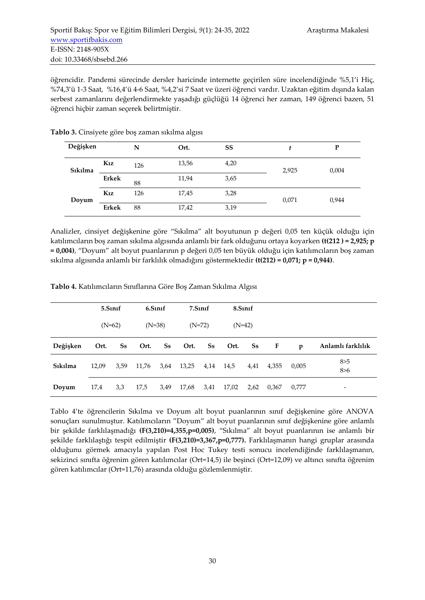öğrencidir. Pandemi sürecinde dersler haricinde internette geçirilen süre incelendiğinde %5,1'i Hiç, %74,3'ü 1-3 Saat, %16,4'ü 4-6 Saat, %4,2'si 7 Saat ve üzeri öğrenci vardır. Uzaktan eğitim dışında kalan serbest zamanlarını değerlendirmekte yaşadığı güçlüğü 14 öğrenci her zaman, 149 öğrenci bazen, 51 öğrenci hiçbir zaman seçerek belirtmiştir.

| Değişken |                  | N   | Ort.  | SS   | +<br>L | P     |
|----------|------------------|-----|-------|------|--------|-------|
| Sıkılma  | K <sub>1</sub> z | 126 | 13,56 | 4,20 | 2,925  | 0,004 |
|          | Erkek            | 88  | 11,94 | 3,65 |        |       |
| Doyum    | $K_{1Z}$         | 126 | 17,45 | 3,28 | 0,071  | 0,944 |
|          | <b>Erkek</b>     | 88  | 17,42 | 3,19 |        |       |

**Tablo 3.** Cinsiyete göre boş zaman sıkılma algısı

Analizler, cinsiyet değişkenine göre "Sıkılma" alt boyutunun p değeri 0,05 ten küçük olduğu için katılımcıların boş zaman sıkılma algısında anlamlı bir fark olduğunu ortaya koyarken **(t(212 ) = 2,925; p = 0,004)**, "Doyum" alt boyut puanlarının p değeri 0,05 ten büyük olduğu için katılımcıların boş zaman sıkılma algısında anlamlı bir farklılık olmadığını göstermektedir **(t(212) = 0,071; p = 0,944)**.

| Tablo 4. Katılımcıların Sınıflarına Göre Boş Zaman Sıkılma Algısı |  |  |  |
|-------------------------------------------------------------------|--|--|--|
|                                                                   |  |  |  |

|                |       | $5.$ Sinif | $6.$ Sinif<br>$7.$ Sinif<br>$8.5$ inif |           |                            |           |       |                        |              |       |                   |
|----------------|-------|------------|----------------------------------------|-----------|----------------------------|-----------|-------|------------------------|--------------|-------|-------------------|
|                |       | $(N=62)$   |                                        | $(N=38)$  |                            | $(N=72)$  |       | $(N=42)$               |              |       |                   |
| Değişken       | Ort.  | $S_{S}$    | Ort.                                   | <b>Ss</b> | Ort.                       | <b>Ss</b> | Ort.  | $\mathbf{S}\mathbf{s}$ | $\mathbf{F}$ | p     | Anlamlı farklılık |
| <b>Sikilma</b> | 12,09 | 3,59       |                                        |           | 11,76 3,64 13,25 4,14 14,5 |           |       | 4,41                   | 4,355        | 0,005 | 8 > 5<br>8 > 6    |
| Doyum          | 17,4  | 3,3        | 17,5                                   | 3,49      | 17,68                      | 3,41      | 17,02 |                        | 2,62 0,367   | 0,777 | -                 |

Tablo 4'te öğrencilerin Sıkılma ve Doyum alt boyut puanlarının sınıf değişkenine göre ANOVA sonuçları sunulmuştur. Katılımcıların "Doyum" alt boyut puanlarının sınıf değişkenine göre anlamlı bir şekilde farklılaşmadığı **(F(3,210)=4,355,p=0,005)**, "Sıkılma" alt boyut puanlarının ise anlamlı bir şekilde farklılaştığı tespit edilmiştir **(F(3,210)=3,367,p=0,777).** Farklılaşmanın hangi gruplar arasında olduğunu görmek amacıyla yapılan Post Hoc Tukey testi sonucu incelendiğinde farklılaşmanın, sekizinci sınıfta öğrenim gören katılımcılar (Ort=14,5) ile beşinci (Ort=12,09) ve altıncı sınıfta öğrenim gören katılımcılar (Ort=11,76) arasında olduğu gözlemlenmiştir.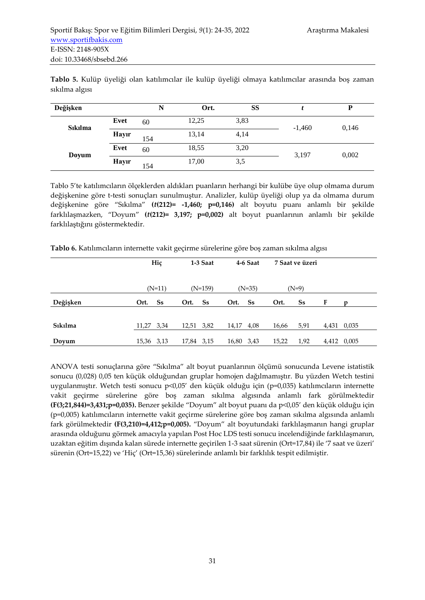| Değişken |             |              | Ort.  | <b>SS</b>         |       | D     |
|----------|-------------|--------------|-------|-------------------|-------|-------|
| Sıkılma  | <b>Evet</b> | 60           | 12,25 | 3,83              |       |       |
|          | Hayır       | 13,14<br>154 | 4,14  | $-1,460$<br>0,146 |       |       |
|          | <b>Evet</b> | 60           | 18,55 | 3,20              | 3,197 | 0,002 |
| Doyum    | Hayır       | 154          | 17,00 | 3,5               |       |       |

**Tablo 5.** Kulüp üyeliği olan katılımcılar ile kulüp üyeliği olmaya katılımcılar arasında boş zaman sıkılma algısı

Tablo 5'te katılımcıların ölçeklerden aldıkları puanların herhangi bir kulübe üye olup olmama durum değişkenine göre t-testi sonuçları sunulmuştur. Analizler, kulüp üyeliği olup ya da olmama durum değişkenine göre "Sıkılma" **(***t***(212)= -1,460; p=0,146)** alt boyutu puanı anlamlı bir şekilde farklılaşmazken, "Doyum" **(***t***(212)= 3,197; p=0,002)** alt boyut puanlarının anlamlı bir şekilde farklılaştığını göstermektedir.

|  |  | Tablo 6. Katılımcıların internette vakit geçirme sürelerine göre boş zaman sıkılma algısı |
|--|--|-------------------------------------------------------------------------------------------|
|  |  |                                                                                           |

|                |            | Hiç      |            | 1-3 Saat  |            | 4-6 Saat |       | 7 Saat ve üzeri |       |             |
|----------------|------------|----------|------------|-----------|------------|----------|-------|-----------------|-------|-------------|
|                |            |          |            | $(N=159)$ |            |          |       |                 |       |             |
|                |            | $(N=11)$ |            |           |            | $(N=35)$ |       | $(N=9)$         |       |             |
| Değişken       | Ort.       | Ss       | Ort.       | Ss        | Ort.       | Ss       | Ort.  | Ss              | F     |             |
|                |            |          |            |           |            |          |       |                 |       |             |
| <b>Sikilma</b> | 11,27 3,34 |          | 12,51 3,82 |           | 14,17      | 4,08     | 16,66 | 5,91            | 4,431 | 0,035       |
| Doyum          | 15,36 3,13 |          | 17,84 3,15 |           | 16,80 3,43 |          | 15,22 | 1,92            |       | 4,412 0,005 |

ANOVA testi sonuçlarına göre "Sıkılma" alt boyut puanlarının ölçümü sonucunda Levene istatistik sonucu (0,028) 0,05 ten küçük olduğundan gruplar homojen dağılmamıştır. Bu yüzden Wetch testini uygulanmıştır. Wetch testi sonucu p<0,05' den küçük olduğu için (p=0,035) katılımcıların internette vakit geçirme sürelerine göre boş zaman sıkılma algısında anlamlı fark görülmektedir **(F(3;21,844)=3,431;p=0,035).** Benzer şekilde "Doyum" alt boyut puanı da p<0,05' den küçük olduğu için (p=0,005) katılımcıların internette vakit geçirme sürelerine göre boş zaman sıkılma algısında anlamlı fark görülmektedir **(F(3,210)=4,412;p=0,005).** "Doyum" alt boyutundaki farklılaşmanın hangi gruplar arasında olduğunu görmek amacıyla yapılan Post Hoc LDS testi sonucu incelendiğinde farklılaşmanın, uzaktan eğitim dışında kalan sürede internette geçirilen 1-3 saat sürenin (Ort=17,84) ile '7 saat ve üzeri' sürenin (Ort=15,22) ve 'Hiç' (Ort=15,36) sürelerinde anlamlı bir farklılık tespit edilmiştir.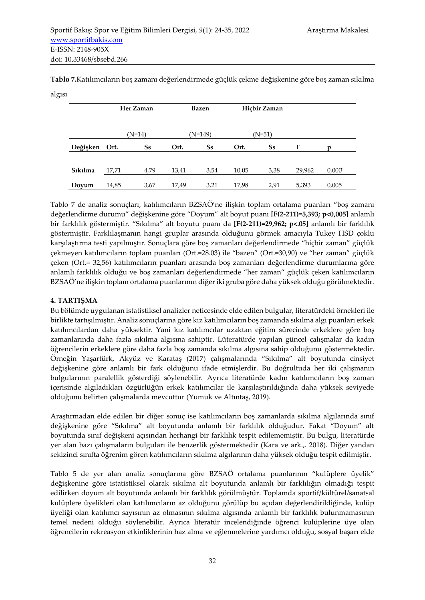|               | Her Zaman |          |       | Hicbir Zaman<br><b>Bazen</b> |       |          |        |           |
|---------------|-----------|----------|-------|------------------------------|-------|----------|--------|-----------|
|               |           | $(N=14)$ |       | $(N=149)$                    |       | $(N=51)$ |        |           |
| Değişken Ort. |           | Ss       | Ort.  | <b>Ss</b>                    | Ort.  | Ss       | F      | n         |
| Sikilma       | 17,71     | 4,79     | 13,41 | 3,54                         | 10,05 | 3,38     | 29,962 | $0,000^*$ |
| Doyum         | 14,85     | 3,67     | 17,49 | 3,21                         | 17,98 | 2,91     | 5,393  | 0,005     |

**Tablo 7.**Katılımcıların boş zamanı değerlendirmede güçlük çekme değişkenine göre boş zaman sıkılma algısı

Tablo 7 de analiz sonuçları, katılımcıların BZSAÖ'ne ilişkin toplam ortalama puanları "boş zamanı değerlendirme durumu" değişkenine göre "Doyum" alt boyut puanı **[F(2-211)=5,393; p<0,005]** anlamlı bir farklılık göstermiştir. "Sıkılma" alt boyutu puanı da **[F(2-211)=29,962; p<.05]** anlamlı bir farklılık göstermiştir. Farklılaşmanın hangi gruplar arasında olduğunu görmek amacıyla Tukey HSD çoklu karşılaştırma testi yapılmıştır. Sonuçlara göre boş zamanları değerlendirmede "hiçbir zaman" güçlük çekmeyen katılımcıların toplam puanları (Ort.=28.03) ile "bazen" (Ort.=30,90) ve "her zaman" güçlük çeken (Ort.= 32,56) katılımcıların puanları arasında boş zamanları değerlendirme durumlarına göre anlamlı farklılık olduğu ve boş zamanları değerlendirmede "her zaman" güçlük çeken katılımcıların BZSAÖ'ne ilişkin toplam ortalama puanlarının diğer iki gruba göre daha yüksek olduğu görülmektedir.

#### **4. TARTIŞMA**

Bu bölümde uygulanan istatistiksel analizler neticesinde elde edilen bulgular, literatürdeki örnekleri ile birlikte tartışılmıştır. Analiz sonuçlarına göre kız katılımcıların boş zamanda sıkılma algı puanları erkek katılımcılardan daha yüksektir. Yani kız katılımcılar uzaktan eğitim sürecinde erkeklere göre boş zamanlarında daha fazla sıkılma algısına sahiptir. Lüteratürde yapılan güncel çalışmalar da kadın öğrencilerin erkeklere göre daha fazla boş zamanda sıkılma algısına sahip olduğunu göstermektedir. Örneğin Yaşartürk, Akyüz ve Karataş (2017) çalışmalarında "Sıkılma" alt boyutunda cinsiyet değişkenine göre anlamlı bir fark olduğunu ifade etmişlerdir. Bu doğrultuda her iki çalışmanın bulgularının paralellik gösterdiği söylenebilir. Ayrıca literatürde kadın katılımcıların boş zaman içerisinde algıladıkları özgürlüğün erkek katılımcılar ile karşılaştırıldığında daha yüksek seviyede olduğunu belirten çalışmalarda mevcuttur (Yumuk ve Altıntaş, 2019).

Araştırmadan elde edilen bir diğer sonuç ise katılımcıların boş zamanlarda sıkılma algılarında sınıf değişkenine göre "Sıkılma" alt boyutunda anlamlı bir farklılık olduğudur. Fakat "Doyum" alt boyutunda sınıf değişkeni açısından herhangi bir farklılık tespit edilememiştir. Bu bulgu, literatürde yer alan bazı çalışmaların bulguları ile benzerlik göstermektedir (Kara ve ark.,. 2018). Diğer yandan sekizinci sınıfta öğrenim gören katılımcıların sıkılma algılarının daha yüksek olduğu tespit edilmiştir.

Tablo 5 de yer alan analiz sonuçlarına göre BZSAÖ ortalama puanlarının "kulüplere üyelik" değişkenine göre istatistiksel olarak sıkılma alt boyutunda anlamlı bir farklılığın olmadığı tespit edilirken doyum alt boyutunda anlamlı bir farklılık görülmüştür. Toplamda sportif/kültürel/sanatsal kulüplere üyelikleri olan katılımcıların az olduğunu görülüp bu açıdan değerlendirildiğinde, kulüp üyeliği olan katılımcı sayısının az olmasının sıkılma algısında anlamlı bir farklılık bulunmamasının temel nedeni olduğu söylenebilir. Ayrıca literatür incelendiğinde öğrenci kulüplerine üye olan öğrencilerin rekreasyon etkinliklerinin haz alma ve eğlenmelerine yardımcı olduğu, sosyal başarı elde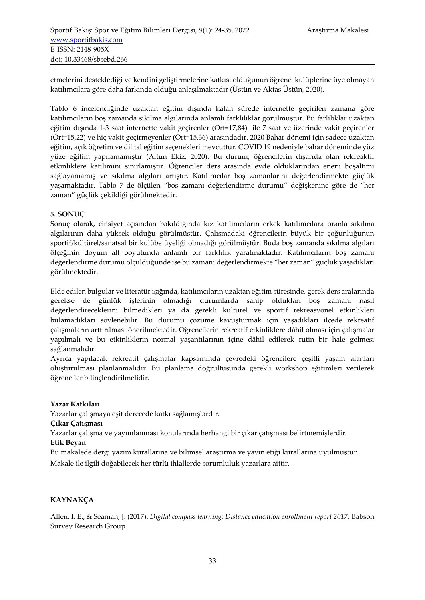etmelerini desteklediği ve kendini geliştirmelerine katkısı olduğunun öğrenci kulüplerine üye olmayan katılımcılara göre daha farkında olduğu anlaşılmaktadır (Üstün ve Aktaş Üstün, 2020).

Tablo 6 incelendiğinde uzaktan eğitim dışında kalan sürede internette geçirilen zamana göre katılımcıların boş zamanda sıkılma algılarında anlamlı farklılıklar görülmüştür. Bu farlılıklar uzaktan eğitim dışında 1-3 saat internette vakit geçirenler (Ort=17,84) ile 7 saat ve üzerinde vakit geçirenler (Ort=15,22) ve hiç vakit geçirmeyenler (Ort=15,36) arasındadır. 2020 Bahar dönemi için sadece uzaktan eğitim, açık öğretim ve dijital eğitim seçenekleri mevcuttur. COVID 19 nedeniyle bahar döneminde yüz yüze eğitim yapılamamıştır (Altun Ekiz, 2020). Bu durum, öğrencilerin dışarıda olan rekreaktif etkinliklere katılımını sınırlamıştır. Öğrenciler ders arasında evde olduklarından enerji boşaltımı sağlayamamış ve sıkılma algıları artıştır. Katılımcılar boş zamanlarını değerlendirmekte güçlük yaşamaktadır. Tablo 7 de ölçülen "boş zamanı değerlendirme durumu" değişkenine göre de "her zaman" güçlük çekildiği görülmektedir.

#### **5. SONUÇ**

Sonuç olarak, cinsiyet açısından bakıldığında kız katılımcıların erkek katılımcılara oranla sıkılma algılarının daha yüksek olduğu görülmüştür. Çalışmadaki öğrencilerin büyük bir çoğunluğunun sportif/kültürel/sanatsal bir kulübe üyeliği olmadığı görülmüştür. Buda boş zamanda sıkılma algıları ölçeğinin doyum alt boyutunda anlamlı bir farklılık yaratmaktadır. Katılımcıların boş zamanı değerlendirme durumu ölçüldüğünde ise bu zamanı değerlendirmekte "her zaman" güçlük yaşadıkları görülmektedir.

Elde edilen bulgular ve literatür ışığında, katılımcıların uzaktan eğitim süresinde, gerek ders aralarında gerekse de günlük işlerinin olmadığı durumlarda sahip oldukları boş zamanı nasıl değerlendireceklerini bilmedikleri ya da gerekli kültürel ve sportif rekreasyonel etkinlikleri bulamadıkları söylenebilir. Bu durumu çözüme kavuşturmak için yaşadıkları ilçede rekreatif çalışmaların arttırılması önerilmektedir. Öğrencilerin rekreatif etkinliklere dâhil olması için çalışmalar yapılmalı ve bu etkinliklerin normal yaşantılarının içine dâhil edilerek rutin bir hale gelmesi sağlanmalıdır.

Ayrıca yapılacak rekreatif çalışmalar kapsamında çevredeki öğrencilere çeşitli yaşam alanları oluşturulması planlanmalıdır. Bu planlama doğrultusunda gerekli workshop eğitimleri verilerek öğrenciler bilinçlendirilmelidir.

#### **Yazar Katkıları**

Yazarlar çalışmaya eşit derecede katkı sağlamışlardır.

#### **Çıkar Çatışması**

Yazarlar çalışma ve yayımlanması konularında herhangi bir çıkar çatışması belirtmemişlerdir.

#### **Etik Beyan**

Bu makalede dergi yazım kurallarına ve bilimsel araştırma ve yayın etiği kurallarına uyulmuştur.

Makale ile ilgili doğabilecek her türlü ihlallerde sorumluluk yazarlara aittir.

#### **KAYNAKÇA**

Allen, I. E., & Seaman, J. (2017). *Digital compass learning: Distance education enrollment report 2017.* Babson Survey Research Group.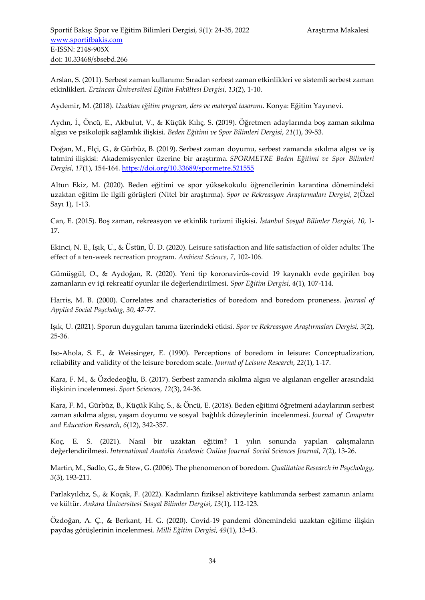Arslan, S. (2011). Serbest zaman kullanımı: Sıradan serbest zaman etkinlikleri ve sistemli serbest zaman etkinlikleri. *Erzincan Üniversitesi Eğitim Fakültesi Dergisi*, *13*(2), 1-10.

Aydemir, M. (2018). *Uzaktan eğitim program, ders ve materyal tasarımı*. Konya: Eğitim Yayınevi.

Aydın, İ., Öncü, E., Akbulut, V., & Küçük Kılıç, S. (2019). Öğretmen adaylarında boş zaman sıkılma algısı ve psikolojik sağlamlık ilişkisi. *Beden Eğitimi ve Spor Bilimleri Dergisi*, *21*(1), 39-53.

Doğan, M., Elçi, G., & Gürbüz, B. (2019). Serbest zaman doyumu, serbest zamanda sıkılma algısı ve iş tatmini ilişkisi: Akademisyenler üzerine bir araştırma. *SPORMETRE Beden Eğitimi ve Spor Bilimleri Dergisi*, *17*(1), 154-164. <https://doi.org/10.33689/spormetre.521555>

Altun Ekiz, M. (2020). Beden eğitimi ve spor yüksekokulu öğrencilerinin karantina dönemindeki uzaktan eğitim ile ilgili görüşleri (Nitel bir araştırma). *Spor ve Rekreasyon Araştırmaları Dergisi*, *2*(Özel Sayı 1), 1-13.

Can, E. (2015). Boş zaman, rekreasyon ve etkinlik turizmi ilişkisi. *İstanbul Sosyal Bilimler Dergisi, 10,* 1- 17.

Ekinci, N. E., Işık, U., & Üstün, Ü. D. (2020). Leisure satisfaction and life satisfaction of older adults: The effect of a ten-week recreation program. *Ambient Science*, *7*, 102-106.

Gümüşgül, O., & Aydoğan, R. (2020). Yeni tip koronavirüs-covid 19 kaynaklı evde geçirilen boş zamanların ev içi rekreatif oyunlar ile değerlendirilmesi. *Spor Eğitim Dergisi*, *4*(1), 107-114.

Harris, M. B. (2000). Correlates and characteristics of boredom and boredom proneness. *Journal of Applied Social Psycholog, 30,* 47-77.

Işık, U. (2021). Sporun duyguları tanıma üzerindeki etkisi. *Spor ve Rekreasyon Araştırmaları Dergisi, 3*(2), 25-36.

Iso-Ahola, S. E., & Weissinger, E. (1990). Perceptions of boredom in leisure: Conceptualization, reliability and validity of the leisure boredom scale. *Journal of Leisure Research*, *22*(1), 1-17.

Kara, F. M., & Özdedeoğlu, B. (2017). Serbest zamanda sıkılma algısı ve algılanan engeller arasındaki ilişkinin incelenmesi. *Sport Sciences, 12*(3), 24-36.

Kara, F. M., Gürbüz, B., Küçük Kılıç, S., & Öncü, E. (2018). Beden eğitimi öğretmeni adaylarının serbest zaman sıkılma algısı, yaşam doyumu ve sosyal bağlılık düzeylerinin incelenmesi. *Journal of Computer and Education Research*, *6*(12), 342-357.

Koç, E. S. (2021). Nasıl bir uzaktan eğitim? 1 yılın sonunda yapılan çalışmaların değerlendirilmesi. *International Anatolia Academic Online Journal Social Sciences Journal*, *7*(2), 13-26.

Martin, M., Sadlo, G., & Stew, G. (2006). The phenomenon of boredom. *Qualitative Research in Psychology, 3*(3), 193-211.

Parlakyıldız, S., & Koçak, F. (2022). Kadınların fiziksel aktiviteye katılımında serbest zamanın anlamı ve kültür. *Ankara Üniversitesi Sosyal Bilimler Dergisi*, *13*(1), 112-123.

Özdoğan, A. Ç., & Berkant, H. G. (2020). Covid-19 pandemi dönemindeki uzaktan eğitime ilişkin paydaş görüşlerinin incelenmesi. *Milli Eğitim Dergisi*, *49*(1), 13-43.